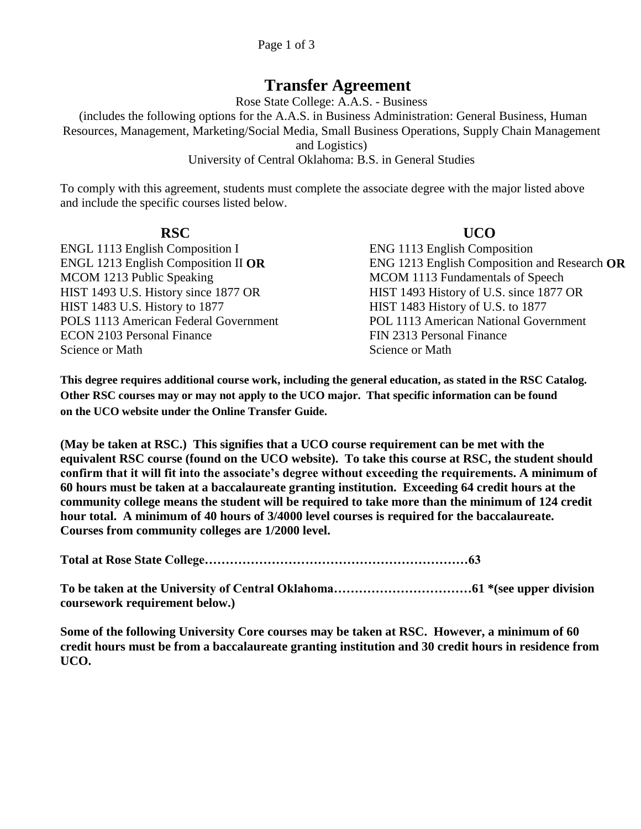## **Transfer Agreement**

Rose State College: A.A.S. - Business

(includes the following options for the A.A.S. in Business Administration: General Business, Human Resources, Management, Marketing/Social Media, Small Business Operations, Supply Chain Management and Logistics)

## University of Central Oklahoma: B.S. in General Studies

To comply with this agreement, students must complete the associate degree with the major listed above and include the specific courses listed below.

ENGL 1113 English Composition I ENG 1113 English Composition ENGL 1213 English Composition II **OR** MCOM 1213 Public Speaking HIST 1483 U.S. History to 1877 HIST 1483 History of U.S. to 1877 ECON 2103 Personal Finance Science or Math

## **RSC UCO**

ENG 1213 English Composition and Research **OR** MCOM 1113 Fundamentals of Speech HIST 1493 U.S. History since 1877 OR HIST 1493 History of U.S. since 1877 OR POLS 1113 American Federal Government POL 1113 American National Government FIN 2313 Personal Finance Science or Math

**This degree requires additional course work, including the general education, as stated in the RSC Catalog. Other RSC courses may or may not apply to the UCO major. That specific information can be found on the UCO website under the Online Transfer Guide.**

**(May be taken at RSC.) This signifies that a UCO course requirement can be met with the equivalent RSC course (found on the UCO website). To take this course at RSC, the student should confirm that it will fit into the associate's degree without exceeding the requirements. A minimum of 60 hours must be taken at a baccalaureate granting institution. Exceeding 64 credit hours at the community college means the student will be required to take more than the minimum of 124 credit hour total. A minimum of 40 hours of 3/4000 level courses is required for the baccalaureate. Courses from community colleges are 1/2000 level.**

**Total at Rose State College………………………………………………………63**

**To be taken at the University of Central Oklahoma……………………………61 \*(see upper division coursework requirement below.)**

**Some of the following University Core courses may be taken at RSC. However, a minimum of 60 credit hours must be from a baccalaureate granting institution and 30 credit hours in residence from UCO.**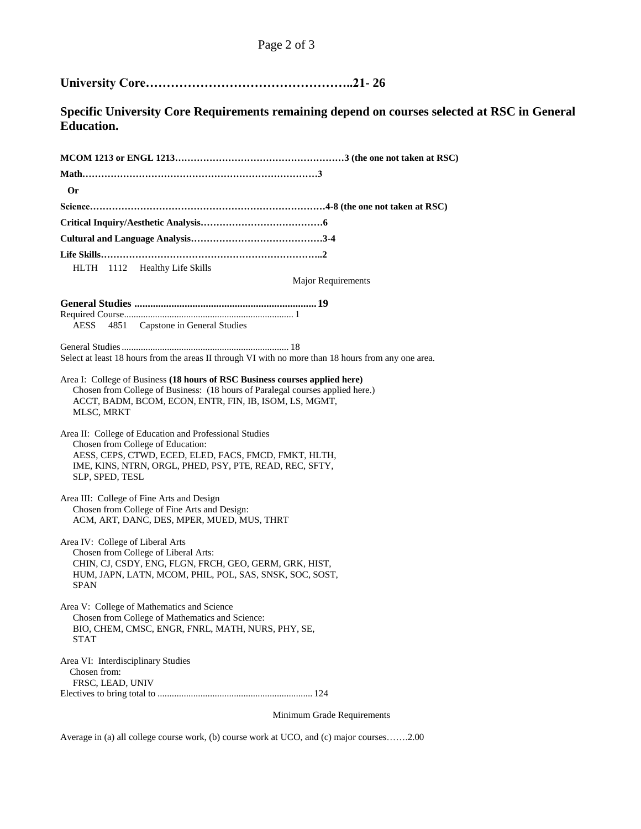**University Core…………………………………………..21- 26** 

**Specific University Core Requirements remaining depend on courses selected at RSC in General Education.**

| <b>Or</b>                                                                                                                                                                                                                             |
|---------------------------------------------------------------------------------------------------------------------------------------------------------------------------------------------------------------------------------------|
|                                                                                                                                                                                                                                       |
|                                                                                                                                                                                                                                       |
|                                                                                                                                                                                                                                       |
|                                                                                                                                                                                                                                       |
| HLTH 1112 Healthy Life Skills                                                                                                                                                                                                         |
| <b>Major Requirements</b>                                                                                                                                                                                                             |
|                                                                                                                                                                                                                                       |
| 4851 Capstone in General Studies<br>AESS                                                                                                                                                                                              |
|                                                                                                                                                                                                                                       |
| Select at least 18 hours from the areas II through VI with no more than 18 hours from any one area.                                                                                                                                   |
|                                                                                                                                                                                                                                       |
| Area I: College of Business (18 hours of RSC Business courses applied here)<br>Chosen from College of Business: (18 hours of Paralegal courses applied here.)<br>ACCT, BADM, BCOM, ECON, ENTR, FIN, IB, ISOM, LS, MGMT,<br>MLSC, MRKT |
| Area II: College of Education and Professional Studies<br>Chosen from College of Education:<br>AESS, CEPS, CTWD, ECED, ELED, FACS, FMCD, FMKT, HLTH,<br>IME, KINS, NTRN, ORGL, PHED, PSY, PTE, READ, REC, SFTY,<br>SLP, SPED, TESL    |
| Area III: College of Fine Arts and Design<br>Chosen from College of Fine Arts and Design:<br>ACM, ART, DANC, DES, MPER, MUED, MUS, THRT                                                                                               |
| Area IV: College of Liberal Arts<br>Chosen from College of Liberal Arts:<br>CHIN, CJ, CSDY, ENG, FLGN, FRCH, GEO, GERM, GRK, HIST,<br>HUM, JAPN, LATN, MCOM, PHIL, POL, SAS, SNSK, SOC, SOST,<br><b>SPAN</b>                          |
| Area V: College of Mathematics and Science<br>Chosen from College of Mathematics and Science:<br>BIO, CHEM, CMSC, ENGR, FNRL, MATH, NURS, PHY, SE,<br>STAT                                                                            |
| Area VI: Interdisciplinary Studies<br>Chosen from:<br>FRSC, LEAD, UNIV                                                                                                                                                                |

Minimum Grade Requirements

Average in (a) all college course work, (b) course work at UCO, and (c) major courses…….2.00